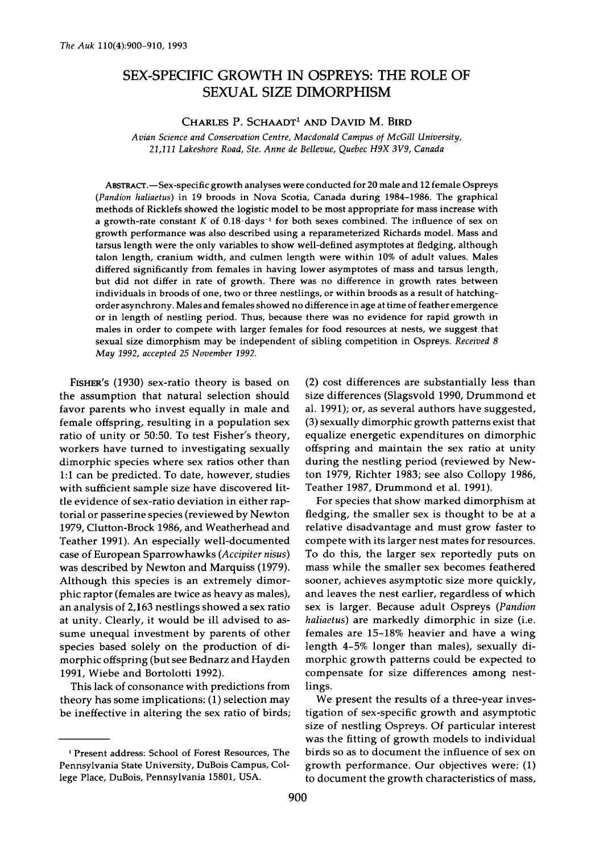# **SEX-SPECIFIC GROWTH IN OSPREYS: THE ROLE OF SEXUAL SIZE DIMORPHISM**

# CHARLES P. SCHAADT<sup>1</sup> AND DAVID M. BIRD

**Avian Science and Conservation Centre, Macdonald Campus of McGill University, 21,111 Lakeshore Road, Ste. Anne de Bellevue, Quebec H9X 3V9, Canada** 

ABSTRACT.-Sex-specific growth analyses were conducted for 20 male and 12 female Ospreys **(Pandion haliaetus) in !9 broods in Nova Scotia, Canada during 1984-1986. The graphical methods of Ricklefs showed the logistic model to be most appropriate for mass increase with**  a growth-rate constant K of 0.18 days<sup>-1</sup> for both sexes combined. The influence of sex on **growth performance was also described using a reparameterized Richards model. Mass and tarsus length were the only variables to show well-defined asymptotes at fledging, although talon length, cranium width, and culmen length were within !0% of adult values. Males differed significantly from females in having lower asymptotes of mass and tarsus length, but did not differ in rate of growth. There was no difference in growth rates between individuals in broods of one, two or three nestlings, or within broods as a result of hatchingorder asynchrony. Males and females showed no difference in age at time of feather emergence or in length of nestling period. Thus, because there was no evidence for rapid growth in males in order to compete with larger females for food resources at nests, we suggest that sexual size dimorphism may be independent of sibling competition in Ospreys. Received 8 May 1992, accepted 25 November 1992.** 

**FISFIER'S (1930) sex-ratio theory is based on the assumption that natural selection should favor parents who invest equally in male and female offspring, resulting in a population sex ratio of unity or 50:50. To test Fisher's theory, workers have turned to investigating sexually dimorphic species where sex ratios other than 1:1 can be predicted. To date, however, studies with sufficient sample size have discovered little evidence of sex-ratio deviation in either raptorial or passerine species (reviewed by Newton 1979, Clutton-Brock 1986, and Weatherhead and Teather 1991). An especially well-documented case of European Sparrowhawks (Accipiter nisus) was described by Newton and Marquiss (1979). Although this species is an extremely dimorphic raptor (females are twice as heavy as males), an analysis of 2,163 nestlings showed a sex ratio at unity. Clearly, it would be ill advised to assume unequal investment by parents of other species based solely on the production of dimorphic offspring (but see Bednarz and Hayden 1991, Wiebe and Bortolotti 1992).** 

**This lack of consonance with predictions from theory has some implications: (1) selection may be ineffective in altering the sex ratio of birds;**  **(2) cost differences are substantially less than size differences (Slagsvoid 1990, Drummond et al. 1991); or, as several authors have suggested, (3) sexually dimorphic growth patterns exist that equalize energetic expenditures on dimorphic offspring and maintain the sex ratio at unity during the nestling period (reviewed by Newton 1979, Richter 1983; see also Collopy 1986, Teather 1987, Drummond et al. 1991).** 

**For species that show marked dimorphism at fledging, the smaller sex is thought to be at a relative disadvantage and must grow faster to compete with its larger nest mates for resources. To do this, the larger sex reportedly puts on mass while the smaller sex becomes feathered sooner, achieves asymptotic size more quickly, and leaves the nest earlier, regardless of which sex is larger. Because adult Ospreys (Pandion haliaetus) are markedly dimorphic in size (i.e. females are 15-18% heavier and have a wing length 4-5% longer than males), sexually dimorphic growth patterns could be expected to compensate for size differences among nestlings.** 

**We present the results of a three-year investigation of sex-specific growth and asymptotic size of nestling Ospreys. Of particular interest was the fitting of growth models to individual birds so as to document the influence of sex on growth performance. Our objectives were: (1) to document the growth characteristics of mass,** 

**<sup>•</sup> Present address: School of Forest Resources, The Pennsylvania State University, DuBois Campus, College Place, DuBois, Pennsylvania !580!, USA.**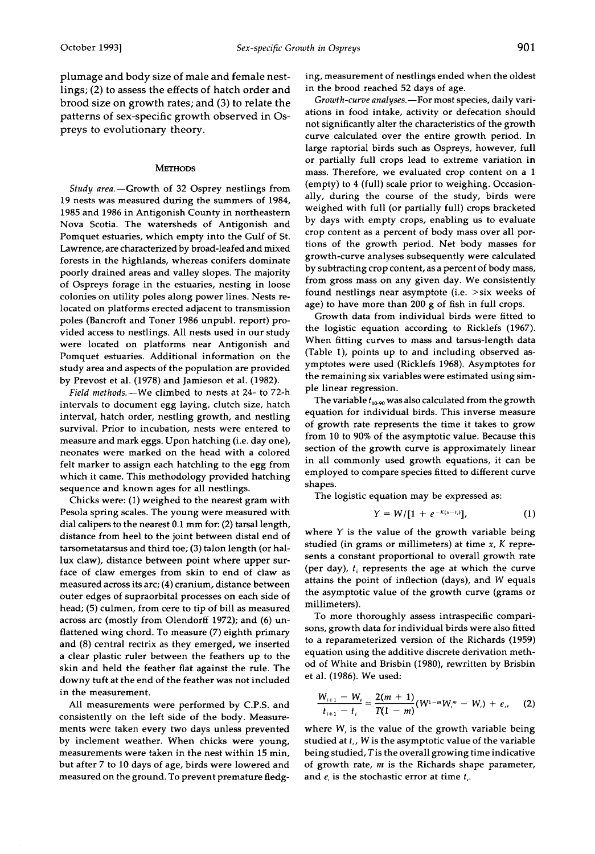**plumage and body size of male and female nestlings; (2) to assess the effects of hatch order and brood size on growth rates; and (3) to relate the patterns of sex-specific growth observed in Ospreys to evolutionary theory.** 

## **METHODS**

Study area.-Growth of 32 Osprey nestlings from **19 nests was measured during the summers of 1984, 1985 and 1986 in Antigonish County in northeastern Nova Scotia. The watersheds of Antigonish and Pomquet estuaries, which empty into the Gulf of St. Lawrence, are characterized by broad-leafed and mixed forests in the highlands, whereas conifers dominate poorly drained areas and valley slopes. The majority of Ospreys forage in the estuaries, nesting in loose colonies on utility poles along power lines. Nests relocated on platforms erected adjacent to transmission poles (Bancroft and Toner 1986 unpubl. report) provided access to nestlings. All nests used in our study were located on platforms near Antigonish and Pomquet estuaries. Additional information on the study area and aspects of the population are provided by Prevost et al. (1978) and Jamieson et al. (1982).** 

**Field methods.--We climbed to nests at 24- to 72-h intervals to document egg laying, clutch size, hatch interval, hatch order, nestling growth, and nestling survival. Prior to incubation, nests were entered to measure and mark eggs. Upon hatching (i.e. day one), neonates were marked on the head with a colored felt marker to assign each hatchling to the egg from which it came. This methodology provided hatching sequence and known ages for all nestlings.** 

**Chicks were: (1) weighed to the nearest gram with Pesola spring scales. The young were measured with dial calipers to the nearest 0.1 mm for: (2) tarsal length, distance from heel to the joint between distal end of tarsometatarsus and third toe; (3) talon length (or hallux claw), distance between point where upper surface of claw emerges from skin to end of claw as measured across its arc; (4) cranium, distance between outer edges of supraorbital processes on each side of head; (5) culmen, from cere to tip of bill as measured across arc (mostly from Olendorff 1972); and (6) unflattened wing chord. To measure (7) eighth primary and (8) central rectrix as they emerged, we inserted a clear plastic ruler between the feathers up to the skin and held the feather flat against the rule. The downy tuft at the end of the feather was not included in the measurement.** 

**All measurements were performed by C.P.S. and consistently on the left side of the body. Measurements were taken every two days unless prevented by inclement weather. When chicks were young, measurements were taken in the nest within 15 min, but after 7 to 10 days of age, birds were lowered and measured on the ground. To prevent premature fledg-** **ing, measurement of nestlings ended when the oldest in the brood reached 52 days of age.** 

**Growth-curve analyses.--For most species, daily variations in food intake, activity or defecation should not significantly alter the characteristics of the growth curve calculated over the entire growth period. In large raptorial birds such as Ospreys, however, full or partially full crops lead to extreme variation in mass. Therefore, we evaluated crop content on a 1 (empty) to 4 (full) scale prior to weighing. Occasionally, during the course of the study, birds were weighed with full (or partially full) crops bracketed by days with empty crops, enabling us to evaluate crop content as a percent of body mass over all portions of the growth period. Net body masses for growth-curve analyses subsequently were calculated by subtracting crop content, as a percent of body mass, from gross mass on any given day. We consistently found nestlings near asymptote (i.e. >six weeks of age) to have more than 200 g of fish in full crops.** 

**Growth data from individual birds were fitted to the logistic equation according to Ricklefs (1967). When fitting curves to mass and tarsus-length data (Table 1), points up to and including observed asymptotes were used (Ricklefs 1968). Asymptotes for the remaining six variables were estimated using simple linear regression.** 

The variable  $t_{10.90}$  was also calculated from the growth **equation for individual birds. This inverse measure of growth rate represents the time it takes to grow from 10 to 90% of the asymptotic value. Because this section of the growth curve is approximately linear in all commonly used growth equations, it can be employed to compare species fitted to different curve shapes.** 

**The logistic equation may be expressed as:** 

$$
Y = W/[1 + e^{-K(x-t_i)}], \qquad (1)
$$

**where Y is the value of the growth variable being studied (in grams or millimeters) at time x, K represents a constant proportional to overall growth rate**  (per day),  $t_i$  represents the age at which the curve **attains the point of inflection (days), and W equals the asymptotic value of the growth curve (grams or millimeters).** 

**To more thoroughly assess intraspecific comparisons, growth data for individual birds were also fitted to a reparameterized version of the Richards (1959) equation using the additive discrete derivation method of White and Brisbin (!980), rewritten by Brisbin et al. (1986). We used:** 

$$
\frac{W_{i+1}-W_i}{t_{i+1}-t_i}=\frac{2(m+1)}{T(1-m)}(W^{1-m}W_i^m-W_i)+e_i,
$$
 (2)

**where W, is the value of the growth variable being studied at t,, W is the asymptotic value of the variable being studied, Tis the overall growing time indicative of growth rate, m is the Richards shape parameter,**  and  $e_i$  is the stochastic error at time  $t_i$ .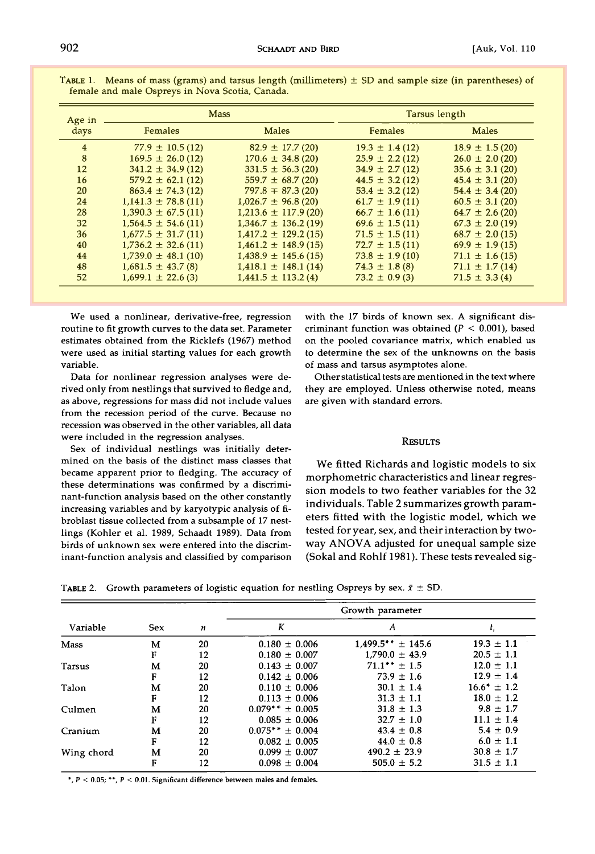| Age in         | <b>Mass</b>            |                          | Tarsus length       |                    |  |
|----------------|------------------------|--------------------------|---------------------|--------------------|--|
| days           | <b>Females</b>         | Males                    | <b>Females</b>      | <b>Males</b>       |  |
| $\overline{4}$ | $77.9 \pm 10.5(12)$    | $82.9 \pm 17.7$ (20)     | $19.3 \pm 1.4(12)$  | $18.9 \pm 1.5(20)$ |  |
| 8              | $169.5 \pm 26.0(12)$   | $170.6 \pm 34.8(20)$     | $25.9 \pm 2.2(12)$  | $26.0 \pm 2.0(20)$ |  |
| 12             | $341.2 \pm 34.9(12)$   | $331.5 \pm 56.3(20)$     | $34.9 \pm 2.7(12)$  | $35.6 \pm 3.1(20)$ |  |
| 16             | $579.2 \pm 62.1(12)$   | $559.7 \pm 68.7(20)$     | $44.5 \pm 3.2$ (12) | $45.4 \pm 3.1(20)$ |  |
| 20             | $863.4 \pm 74.3(12)$   | $797.8 \pm 87.3(20)$     | $53.4 \pm 3.2$ (12) | $54.4 \pm 3.4(20)$ |  |
| 24             | $1,141.3 \pm 78.8(11)$ | $1,026.7 \pm 96.8(20)$   | $61.7 \pm 1.9(11)$  | $60.5 \pm 3.1(20)$ |  |
| 28             | $1.390.3 \pm 67.5(11)$ | $1,213.6 \pm 117.9(20)$  | $66.7 \pm 1.6(11)$  | $64.7 \pm 2.6(20)$ |  |
| 32             | $1,564.5 \pm 54.6(11)$ | $1,346.7 \pm 136.2$ (19) | $69.6 \pm 1.5(11)$  | $67.3 \pm 2.0(19)$ |  |
| 36             | $1,677.5 \pm 31.7(11)$ | $1,417.2 \pm 129.2(15)$  | $71.5 \pm 1.5(11)$  | $68.7 \pm 2.0(15)$ |  |
| 40             | $1,736.2 \pm 32.6(11)$ | $1,461.2 \pm 148.9(15)$  | $72.7 \pm 1.5(11)$  | $69.9 \pm 1.9(15)$ |  |
| 44             | $1,739.0 \pm 48.1(10)$ | $1,438.9 \pm 145.6(15)$  | $73.8 \pm 1.9(10)$  | $71.1 \pm 1.6(15)$ |  |
| 48             | $1,681.5 \pm 43.7(8)$  | $1,418.1 \pm 148.1(14)$  | $74.3 \pm 1.8$ (8)  | $71.1 \pm 1.7(14)$ |  |
| 52             | $1.699.1 \pm 22.6(3)$  | $1,441.5 \pm 113.2(4)$   | $73.2 \pm 0.9$ (3)  | $71.5 \pm 3.3(4)$  |  |
|                |                        |                          |                     |                    |  |

**TABLE 1.** Means of mass (grams) and tarsus length (millimeters)  $\pm$  SD and sample size (in parentheses) of **female and male Ospreys in Nova Scotia, Canada.** 

**We used a nonlinear, derivative-free, regression routine to fit growth curves to the data set. Parameter estimates obtained from the Ricklefs (1967) method were used as initial starting values for each growth variable.** 

**Data for nonlinear regression analyses were derived only from nestlings that survived to fledge and, as above, regressions for mass did not include values from the recession period of the curve. Because no recession was observed in the other variables, all data were included in the regression analyses.** 

**Sex of individual nestlings was initially determined on the basis of the distinct mass classes that became apparent prior to fledging. The accuracy of these determinations was confirmed by a discriminant-function analysis based on the other constantly increasing variables and by karyotypic analysis of fibroblast tissue collected from a subsample of 17 nestlings (Kohler et al. 1989, Schaadt 1989). Data from birds of unknown sex were entered into the discriminant-function analysis and classified by comparison** 

**with the 17 birds of known sex. A significant discriminant function was obtained (P < 0.001), based on the pooled covariance matrix, which enabled us to determine the sex of the unknowns on the basis of mass and tarsus asymptotes alone.** 

**Other statistical tests are mentioned in the text where they are employed. Unless otherwise noted, means are given with standard errors.** 

#### **RESULTS**

**We fitted Richards and logistic models to six morphometric characteristics and linear regression models to two feather variables for the 32 individuals. Table 2 summarizes growth parameters fitted with the logistic model, which we tested for year, sex, and their interaction by twoway ANOVA adjusted for unequal sample size (Sokal and Rohlf 1981). These tests revealed sig-**

Table 2. Growth parameters of logistic equation for nestling Ospreys by sex.  $x \pm 5D$ .

|             |            |                  | Growth parameter    |                        |                  |  |  |
|-------------|------------|------------------|---------------------|------------------------|------------------|--|--|
| Variable    | <b>Sex</b> | $\boldsymbol{n}$ | K                   | A                      | t,               |  |  |
| <b>Mass</b> | М          | 20               | $0.180 \pm 0.006$   | $1.499.5*** \pm 145.6$ | $19.3 \pm 1.1$   |  |  |
|             | F          | 12               | $0.180 \pm 0.007$   | $1.790.0 \pm 43.9$     | $20.5 \pm 1.1$   |  |  |
| Tarsus      | М          | 20               | $0.143 \pm 0.007$   | $71.1*** \pm 1.5$      | $12.0 \pm 1.1$   |  |  |
|             | F          | 12               | $0.142 \pm 0.006$   | $73.9 \pm 1.6$         | $12.9 \pm 1.4$   |  |  |
| Talon       | М          | 20               | $0.110 \pm 0.006$   | $30.1 \pm 1.4$         | $16.6^* \pm 1.2$ |  |  |
|             | F          | 12               | $0.113 \pm 0.006$   | $31.3 \pm 1.1$         | $18.0 \pm 1.2$   |  |  |
| Culmen      | м          | 20               | $0.079** \pm 0.005$ | $31.8 \pm 1.3$         | $9.8 \pm 1.7$    |  |  |
|             | F          | 12               | $0.085 \pm 0.006$   | $32.7 \pm 1.0$         | $11.1 \pm 1.4$   |  |  |
| Cranium     | м          | 20               | $0.075** \pm 0.004$ | $43.4 \pm 0.8$         | $5.4 \pm 0.9$    |  |  |
|             | F          | 12               | $0.082 \pm 0.005$   | $44.0 \pm 0.8$         | $6.0 \pm 1.1$    |  |  |
| Wing chord  | м          | 20               | $0.099 \pm 0.007$   | $490.2 \pm 23.9$       | $30.8 \pm 1.7$   |  |  |
|             | F          | 12               | $0.098 \pm 0.004$   | $505.0 \pm 5.2$        | $31.5 \pm 1.1$   |  |  |

**\*, P < 0.05; \*\*, P < 0.01. significant difference between males and females.**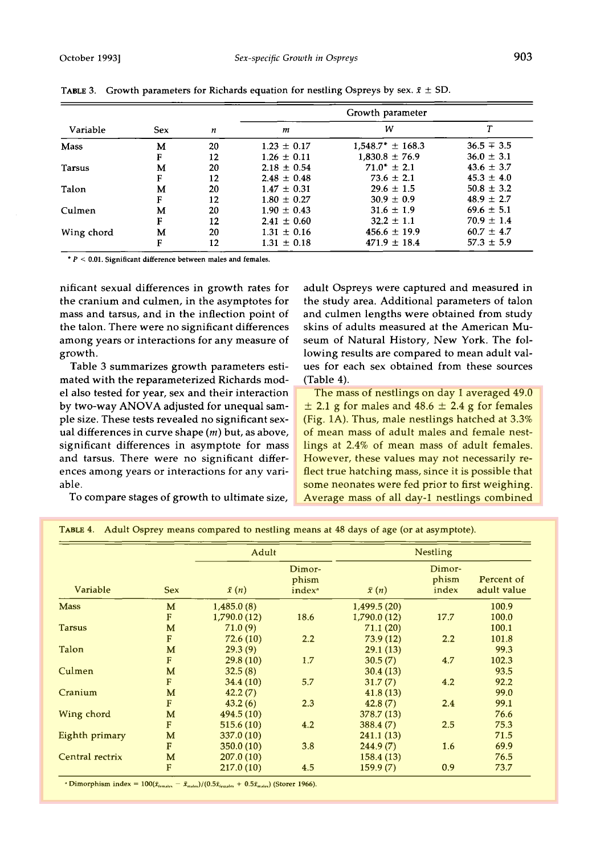|            |            |    | Growth parameter |                       |                |  |
|------------|------------|----|------------------|-----------------------|----------------|--|
| Variable   | <b>Sex</b> | n  | m                | W                     |                |  |
| Mass       | М          | 20 | $1.23 \pm 0.17$  | $1.548.7^* \pm 168.3$ | $36.5 \pm 3.5$ |  |
|            | F          | 12 | $1.26 \pm 0.11$  | $1.830.8 \pm 76.9$    | $36.0 \pm 3.1$ |  |
| Tarsus     | М          | 20 | $2.18 \pm 0.54$  | $71.0^* \pm 2.1$      | $43.6 \pm 3.7$ |  |
|            | F          | 12 | $2.48 \pm 0.48$  | $73.6 \pm 2.1$        | $45.3 \pm 4.0$ |  |
| Talon      | м          | 20 | $1.47 \pm 0.31$  | $29.6 \pm 1.5$        | $50.8 \pm 3.2$ |  |
|            | F          | 12 | $1.80 \pm 0.27$  | $30.9 \pm 0.9$        | $48.9 \pm 2.7$ |  |
| Culmen     | м          | 20 | $1.90 \pm 0.43$  | $31.6 \pm 1.9$        | $69.6 \pm 5.1$ |  |
|            | F          | 12 | $2.41 \pm 0.60$  | $32.2 \pm 1.1$        | $70.9 \pm 1.4$ |  |
| Wing chord | м          | 20 | $1.31 \pm 0.16$  | $456.6 \pm 19.9$      | $60.7 \pm 4.7$ |  |
|            | F          | 12 | $1.31 \pm 0.18$  | $471.9 \pm 18.4$      | $57.3 \pm 5.9$ |  |

**TABLE 3.** Growth parameters for Richards equation for nestling Ospreys by sex.  $\bar{x} \pm SD$ .

**ß P < 0.01. Significant difference between males and females.** 

**nificant sexual differences in growth rates for the cranium and culmen, in the asymptotes for mass and tarsus, and in the inflection point of the talon. There were no significant differences among years or interactions for any measure of growth.** 

**Table 3 summarizes growth parameters estimated with the reparameterized Richards model also tested for year, sex and their interaction by two-way ANOVA adjusted for unequal sample size. These tests revealed no significant sexual differences in curve shape (m) but, as above, significant differences in asymptote for mass and tarsus. There were no significant differences among years or interactions for any variable.** 

**adult Ospreys were captured and measured in the study area. Additional parameters of talon and culmen lengths were obtained from study skins of adults measured at the American Museum of Natural History, New York. The following results are compared to mean adult values for each sex obtained from these sources (Table 4).** 

**The mass of nestlings on day 1 averaged 49.0**   $\pm$  2.1 g for males and 48.6  $\pm$  2.4 g for females **(Fig. 1A). Thus, male nestlings hatched at 3.3% of mean mass of adult males and female nestlings at 2.4% of mean mass of adult females. However, these values may not necessarily reflect true hatching mass, since it is possible that some neonates were fed prior to first weighing. Average mass of all day-1 nestlings combined** 

**To compare stages of growth to ultimate size,** 

|  |  |  | TABLE 4. Adult Osprey means compared to nestling means at 48 days of age (or at asymptote). |  |  |
|--|--|--|---------------------------------------------------------------------------------------------|--|--|
|--|--|--|---------------------------------------------------------------------------------------------|--|--|

|                 |            | Adult        |                                       | <b>Nestling</b> |                          |                           |
|-----------------|------------|--------------|---------------------------------------|-----------------|--------------------------|---------------------------|
| Variable        | <b>Sex</b> | $\bar{x}(n)$ | Dimor-<br>phism<br>index <sup>a</sup> | $\bar{x}(n)$    | Dimor-<br>phism<br>index | Percent of<br>adult value |
| <b>Mass</b>     | M          | 1,485.0(8)   |                                       | 1,499.5(20)     |                          | 100.9                     |
|                 | F          | 1,790.0(12)  | 18.6                                  | 1,790.0(12)     | 17.7                     | 100.0                     |
| <b>Tarsus</b>   | M          | 71.0(9)      |                                       | 71.1(20)        |                          | 100.1                     |
|                 | F          | 72.6(10)     | 2.2                                   | 73.9(12)        | 2.2                      | 101.8                     |
| Talon           | M          | 29.3(9)      |                                       | 29.1(13)        |                          | 99.3                      |
|                 | F          | 29.8(10)     | 1.7                                   | 30.5(7)         | 4.7                      | 102.3                     |
| Culmen          | M          | 32.5(8)      |                                       | 30.4(13)        |                          | 93.5                      |
|                 | F          | 34.4(10)     | 5.7                                   | 31.7(7)         | 4.2                      | 92.2                      |
| Cranium         | M          | 42.2(7)      |                                       | 41.8(13)        |                          | 99.0                      |
|                 | F          | 43.2(6)      | 2.3                                   | 42.8(7)         | 2.4                      | 99.1                      |
| Wing chord      | M          | 494.5 (10)   |                                       | 378.7(13)       |                          | 76.6                      |
|                 | F          | 515.6(10)    | 4.2                                   | 388.4(7)        | 2.5                      | 75.3                      |
| Eighth primary  | M          | 337.0(10)    |                                       | 241.1(13)       |                          | 71.5                      |
|                 | F          | 350.0(10)    | 3.8                                   | 244.9(7)        | 1.6                      | 69.9                      |
| Central rectrix | M          | 207.0(10)    |                                       | 158.4(13)       |                          | 76.5                      |
|                 | F          | 217.0(10)    | 4.5                                   | 159.9(7)        | 0.9                      | 73.7                      |

<sup>\*</sup> Dimorphism index =  $100(\bar{x}_{\text{tends}} - \bar{x}_{\text{males}})/(0.5\bar{x}_{\text{fends}} + 0.5\bar{x}_{\text{males}})$  (Storer 1966).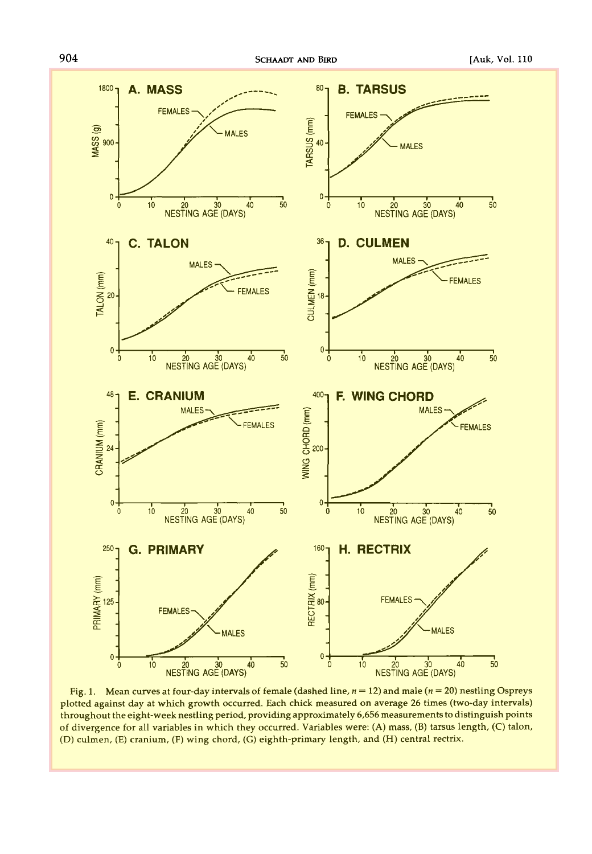

**Fig. 1. Mean curves at four-day intervals of female (dashed line, n = 12) and male (n = 20) nestling Ospreys plotted against day at which growth occurred. Each chick measured on average 26 times (two-day intervals)**  throughout the eight-week nestling period, providing approximately 6,656 measurements to distinguish points **of divergence for all variables in which they occurred. Variables were: (A) mass, (B) tarsus length, (C) talon, (D) culmen, (E) cranium, (F) wing chord, (G) eighth-primary length, and (H) central rectrix.**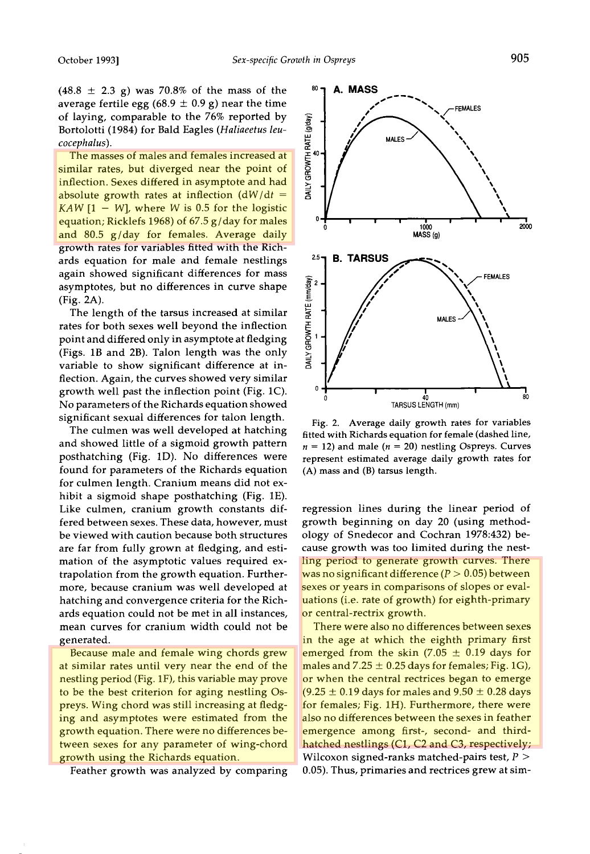$(48.8 \pm 2.3 \text{ g})$  was 70.8% of the mass of the average fertile egg ( $68.9 \pm 0.9$  g) near the time **of laying, comparable to the 76% reported by Bortolotti (1984) for Bald Eagles (Haliaeetus leucocephalus).** 

**The masses of males and females increased at similar rates, but diverged near the point of inflection. Sexes differed in asymptote and had absolute growth rates at inflection (dW/dt = KAW [1 - W], where W is 0.5 for the logistic equation; Ricklefs 1968) of 67.5 g/day for males and 80.5 g/day for females. Average daily growth rates for variables fitted with the Richards equation for male and female nestlings again showed significant differences for mass asymptotes, but no differences in curve shape (Fig. 2A).** 

**The length of the tarsus increased at similar rates for both sexes well beyond the inflection point and differed only in asymptote at fledging (Figs. lB and 2B). Talon length was the only variable to show significant difference at inflection. Again, the curves showed very similar growth well past the inflection point (Fig. 1C). No parameters of the Richards equation showed significant sexual differences for talon length.** 

**The culmen was well developed at hatching and showed little of a sigmoid growth pattern posthatching (Fig. 1D). No differences were found for parameters of the Richards equation for culmen length. Cranium means did not exhibit a sigmoid shape posthatching (Fig. 1E). Like culmen, cranium growth constants differed between sexes. These data, however, must be viewed with caution because both structures are far from fully grown at fledging, and estimation of the asymptotic values required extrapolation from the growth equation. Furthermore, because cranium was well developed at hatching and convergence criteria for the Richards equation could not be met in all instances, mean curves for cranium width could not be generated.** 

**Because male and female wing chords grew at similar rates until very near the end of the nestling period (Fig. 1F), this variable may prove to be the best criterion for aging nestling Ospreys. Wing chord was still increasing at fledging and asymptotes were estimated from the growth equation. There were no differences between sexes for any parameter of wing-chord growth using the Richards equation.** 

**Feather growth was analyzed by comparing** 



**Fig. 2. Average daily growth rates for variables fitted with Richards equation for female (dashed line,**   $n = 12$ ) and male  $(n = 20)$  nestling Ospreys. Curves **represent estimated average daily growth rates for (A) mass and (B) tarsus length.** 

**regression lines during the linear period of growth beginning on day 20 (using methodology of Shedecor and Cochran 1978:432) because growth was too limited during the nestling period to generate growth curves. There**  was no significant difference  $(P > 0.05)$  between **sexes or years in comparisons of slopes or evaluations (i.e. rate of growth) for eighth-primary or central-rectrix growth.** 

**There were also no differences between sexes in the age at which the eighth primary first**  emerged from the skin  $(7.05 \pm 0.19)$  days for males and  $7.25 \pm 0.25$  days for females; Fig. 1G), **or when the central rectrices began to emerge**   $(9.25 \pm 0.19)$  days for males and  $9.50 \pm 0.28$  days **for females; Fig. 1H). Furthermore, there were also no differences between the sexes in feather emergence among first-, second- and thirdhatched nestlings (C1, C2 and C3, respectively; Wilcoxon signed-ranks matched-pairs test, P > 0.05). Thus, primaries and rectrices grew at sim-**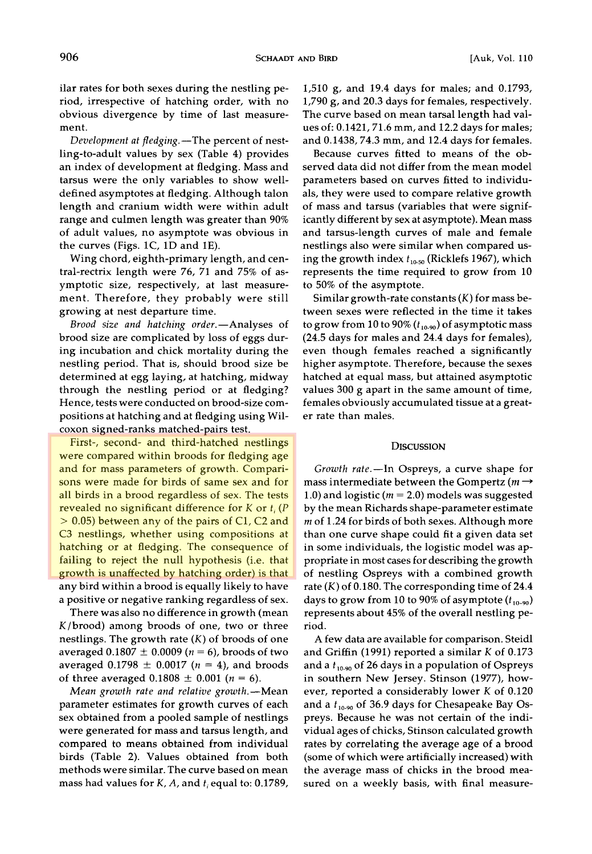**ilar rates for both sexes during the nestling period, irrespective of hatching order, with no obvious divergence by time of last measurement.** 

Development at fledging.—The percent of nest**ling-to-adult values by sex (Table 4) provides an index of development at fledging. Mass and tarsus were the only variables to show welldefined asymptotes at fledging. Although talon length and cranium width were within adult range and culmen length was greater than 90% of adult values, no asymptote was obvious in the curves (Figs. 1C, 1D and 1E).** 

**Wing chord, eighth-primary length, and central-rectrix length were 76, 71 and 75% of asymptotic size, respectively, at last measurement. Therefore, they probably were still growing at nest departure time.** 

Brood size and hatching order.-Analyses of **brood size are complicated by loss of eggs during incubation and chick mortality during the nestling period. That is, should brood size be determined at egg laying, at hatching, midway through the nestling period or at fledging? Hence, tests were conducted on brood-size compositions at hatching and at fledging using Wilcoxon signed-ranks matched-pairs test.** 

**First-, second- and third-hatched nestlings were compared within broods for fledging age and for mass parameters of growth. Comparisons were made for birds of same sex and for all birds in a brood regardless of sex. The tests**  revealed no significant difference for  $K$  or  $t_i$  ( $P$ **> 0.05) between any of the pairs of C1, C2 and C3 nestlings, whether using compositions at hatching or at fledging. The consequence of failing to reject the null hypothesis (i.e. that growth is unaffected by hatching order) is that any bird within a brood is equally likely to have a positive or negative ranking regardless of sex.** 

**There was also no difference in growth (mean K/brood) among broods of one, two or three nestlings. The growth rate (K) of broods of one**  averaged  $0.1807 \pm 0.0009$  ( $n = 6$ ), broods of two averaged  $0.1798 \pm 0.0017$  ( $n = 4$ ), and broods of three averaged  $0.1808 \pm 0.001$  ( $n = 6$ ).

Mean growth rate and relative growth.-Mean **parameter estimates for growth curves of each sex obtained from a pooled sample of nestlings were generated for mass and tarsus length, and compared to means obtained from individual birds (Table 2). Values obtained from both methods were similar. The curve based on mean**  mass had values for  $K$ ,  $A$ , and  $t_i$  equal to: 0.1789,

**1,510 g, and 19.4 days for males; and 0.1793, 1,790 g, and 20.3 days for females, respectively. The curve based on mean tarsal length had values of: 0.1421, 71.6 mm, and 12.2 days for males; and 0.1438, 74.3 ram, and 12.4 days for females.** 

**Because curves fitted to means of the observed data did not differ from the mean model parameters based on curves fitted to individuals, they were used to compare relative growth of mass and tarsus (variables that were significantly different by sex at asymptote). Mean mass and tarsus-length curves of male and female nestlings also were similar when compared us**ing the growth index  $t_{10-50}$  (Ricklefs 1967), which **represents the time required to grow from 10 to 50% of the asymptote.** 

**Similar growth-rate constants (K) for mass between sexes were reflected in the time it takes**  to grow from 10 to 90%  $(t_{10-90})$  of asymptotic mass **(24.5 days for males and 24.4 days for females), even though females reached a significantly higher asymptote. Therefore, because the sexes hatched at equal mass, but attained asymptotic values 300 g apart in the same amount of time, females obviously accumulated tissue at a greater rate than males.** 

#### **DISCUSSION**

**Growth rate.--In Ospreys, a curve shape for**  mass intermediate between the Gompertz ( $m \rightarrow$ 1.0) and logistic ( $m = 2.0$ ) models was suggested **by the mean Richards shape-parameter estimate m of 1.24 for birds of both sexes. Although more than one curve shape could fit a given data set in some individuals, the logistic model was appropriate in most cases for describing the growth of nestling Ospreys with a combined growth rate (K) of 0.180. The corresponding time of 24.4**  days to grow from 10 to 90% of asymptote  $(t_{10-90})$ **represents about 45% of the overall nestling period.** 

**A few data are available for comparison. Steidl and Griffin (1991) reported a similar K of 0.173 and a t•0\_9o of 26 days in a population of Ospreys in southern New Jersey. Stinson (1977), however, reported a considerably lower K of 0.120**  and a  $t_{10-90}$  of 36.9 days for Chesapeake Bay Os**preys. Because he was not certain of the individual ages of chicks, Stinson calculated growth rates by correlating the average age of a brood (some of which were artificially increased) with the average mass of chicks in the brood measured on a weekly basis, with final measure-**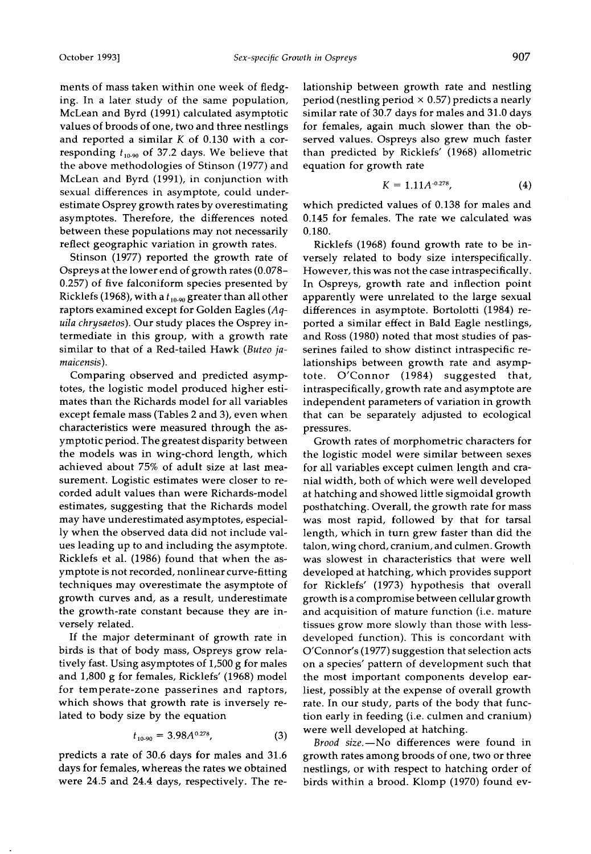**ments of mass taken within one week of fledging. In a later study of the same population, McLean and Byrd (1991) calculated asymptotic values of broods of one, two and three nestlings and reported a similar K of 0.130 with a cor**responding  $t_{10-90}$  of 37.2 days. We believe that **the above methodologies of Stinson (1977) and McLean and Byrd (1991), in conjunction with sexual differences in asymptote, could underestimate Osprey growth rates by overestimating asymptotes. Therefore, the differences noted between these populations may not necessarily reflect geographic variation in growth rates.** 

**Stinson (1977) reported the growth rate of Ospreys at the lower end of growth rates (0.078- 0.257) of five falconiform species presented by**  Ricklefs (1968), with a  $t_{10-90}$  greater than all other **raptors examined except for Golden Eagles (Aquila chrysaetos). Our study places the Osprey intermediate in this group, with a growth rate similar to that of a Red-tailed Hawk (Buteo jamaicensis).** 

**Comparing observed and predicted asymptotes, the logistic model produced higher estimates than the Richards model for all variables except female mass (Tables 2 and 3), even when characteristics were measured through the asymptotic period. The greatest disparity between the models was in wing-chord length, which achieved about 75% of adult size at last measurement. Logistic estimates were closer to recorded adult values than were Richards-model estimates, suggesting that the Richards model may have underestimated asymptotes, especially when the observed data did not include values leading up to and including the asymptote. Ricklefs et al. (1986) found that when the asymptote is not recorded, nonlinear curve-fitting techniques may overestimate the asymptote of growth curves and, as a result, underestimate the growth-rate constant because they are inversely related.** 

**If the major determinant of growth rate in birds is that of body mass, Ospreys grow relatively fast. Using asymptotes of 1,500 g for males and 1,800 g for females, Ricklefs' (1968) model for temperate-zone passerines and raptors, which shows that growth rate is inversely related to body size by the equation** 

$$
t_{10-90} = 3.98A^{0.278},\tag{3}
$$

**predicts a rate of 30.6 days for males and 31.6 days for females, whereas the rates we obtained were 24.5 and 24.4 days, respectively. The re-** **lationship between growth rate and nestling period (nestling period x 0.57) predicts a nearly similar rate of 30.7 days for males and 31.0 days for females, again much slower than the observed values. Ospreys also grew much faster than predicted by Ricklefs' (1968) allometric equation for growth rate** 

$$
K = 1.11A^{-0.278}, \tag{4}
$$

**which predicted values of 0.138 for males and 0.145 for females. The rate we calculated was 0.180.** 

**Ricklefs (1968) found growth rate to be inversely related to body size interspecifically. However, this was not the case intraspecifically. In Ospreys, growth rate and inflection point apparently were unrelated to the large sexual differences in asymptote. Bortolotti (1984) reported a similar effect in Bald Eagle nestlings, and Ross (1980) noted that most studies of pas**serines failed to show distinct intraspecific re**lationships between growth rate and asymptote. O'Connor (1984) suggested that, intraspecifically, growth rate and asymptote are independent parameters of variation in growth that can be separately adjusted to ecological pressures.** 

**Growth rates of morphometric characters for the logistic model were similar between sexes for all variables except culmen length and cranial width, both of which were well developed at hatching and showed little sigmoidal growth posthatching. Overall, the growth rate for mass was most rapid, followed by that for tarsal length, which in turn grew faster than did the talon, wing chord, cranium, and culmen. Growth was slowest in characteristics that were well developed at hatching, which provides support for Ricklefs' (1973) hypothesis that overall growth is a compromise between cellular growth and acquisition of mature function (i.e. mature tissues grow more slowly than those with lessdeveloped function). This is concordant with O'Connor's (1977) suggestion that selection acts on a species' pattern of development such that the most important components develop earliest, possibly at the expense of overall growth rate. In our study, parts of the body that function early in feeding (i.e. culmen and cranium) were well developed at hatching.** 

Brood size.-No differences were found in **growth rates among broods of one, two or three nestlings, or with respect to hatching order of birds within a brood. Klomp (1970) found ev-**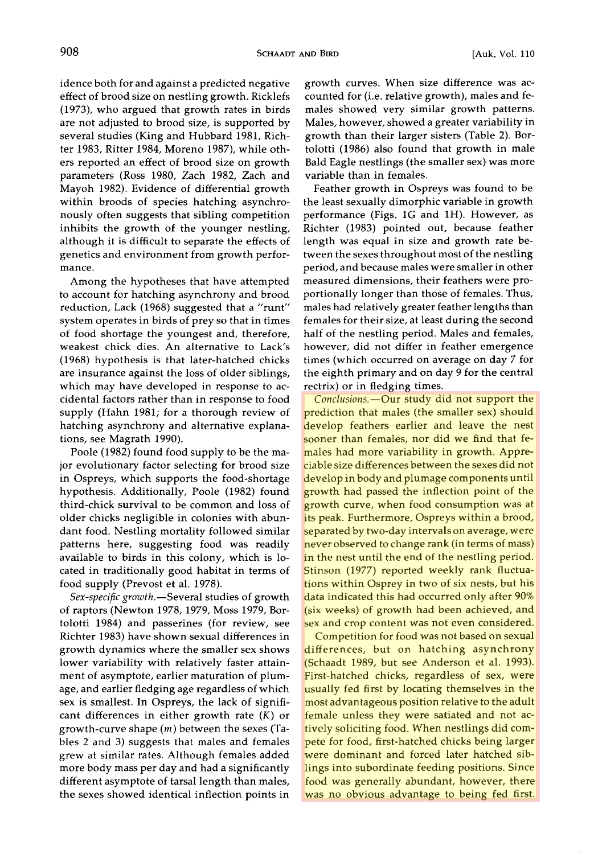**idence both for and against a predicted negative effect of brood size on nestling growth. Ricklefs (1973), who argued that growth rates in birds are not adjusted to brood size, is supported by several studies (King and Hubbard 1981, Richter 1983, Ritter 1984, Moreno 1987), while others reported an effect of brood size on growth parameters (Ross 1980, Zach 1982, Zach and Mayoh 1982). Evidence of differential growth within broods of species hatching asynchronously often suggests that sibling competition inhibits the growth of the younger nestling, although it is difficult to separate the effects of genetics and environment from growth performance.** 

**Among the hypotheses that have attempted to account for hatching asynchrony and brood reduction, Lack (1968) suggested that a "runt" system operates in birds of prey so that in times of food shortage the youngest and, therefore, weakest chick dies. An alternative to Lack's (1968) hypothesis is that later-hatched chicks are insurance against the loss of older siblings, which may have developed in response to accidental factors rather than in response to food supply (Hahn 1981; for a thorough review of hatching asynchrony and alternative explanations, see Magrath 1990).** 

**Poole (1982) found food supply to be the major evolutionary factor selecting for brood size in Ospreys, which supports the food-shortage hypothesis. Additionally, Poole (1982) found third-chick survival to be common and loss of older chicks negligible in colonies with abundant food. Nestling mortality followed similar patterns here, suggesting food was readily available to birds in this colony, which is located in traditionally good habitat in terms of food supply (Prevost et al. 1978).** 

Sex-specific growth.-Several studies of growth **of raptors (Newton 1978, 1979, Moss 1979, Bortolotti 1984) and passerines (for review, see Richter 1983) have shown sexual differences in growth dynamics where the smaller sex shows lower variability with relatively faster attainment of asymptote, earlier maturation of plumage, and earlier fledging age regardless of which sex is smallest. In Ospreys, the lack of significant differences in either growth rate (K) or growth-curve shape (m) between the sexes (Tables 2 and 3) suggests that males and females grew at similar rates. Although females added more body mass per day and had a significantly different asymptote of tarsal length than males, the sexes showed identical inflection points in**  **growth curves. When size difference was accounted for (i.e. relative growth), males and females showed very similar growth patterns. Males, however, showed a greater variability in growth than their larger sisters (Table 2). Bortolotti (1986) also found that growth in male Bald Eagle nestlings (the smaller sex) was more variable than in females.** 

**Feather growth in Ospreys was found to be the least sexually dimorphic variable in growth performance (Figs. 1G and 1H). However, as Richter (1983) pointed out, because feather length was equal in size and growth rate between the sexes throughout most of the nestling period, and because males were smaller in other measured dimensions, their feathers were proportionally longer than those of females. Thus, males had relatively greater feather lengths than females for their size, at least during the second half of the nestling period. Males and females, however, did not differ in feather emergence times (which occurred on average on day 7 for the eighth primary and on day 9 for the central rectrix) or in fledging times.** 

Conclusions.--Our study did not support the **prediction that males (the smaller sex) should develop feathers earlier and leave the nest sooner than females, nor did we find that females had more variability in growth. Appreciable size differences between the sexes did not develop in body and plumage components until growth had passed the inflection point of the growth curve, when food consumption was at its peak. Furthermore, Ospreys within a brood, separated by two-day intervals on average, were never observed to change rank (in terms of mass) in the nest until the end of the nestling period. Stinson (1977) reported weekly rank fluctuations within Osprey in two of six nests, but his data indicated this had occurred only after 90% (six weeks) of growth had been achieved, and sex and crop content was not even considered.** 

**Competition for food was not based on sexual differences, but on hatching asynchrony (Schaadt 1989, but see Anderson et al. 1993). First-hatched chicks, regardless of sex, were usually fed first by locating themselves in the most advantageous position relative to the adult female unless they were satiated and not actively soliciting food. When nestlings did compete for food, first-hatched chicks being larger were dominant and forced later hatched siblings into subordinate feeding positions. Since food was generally abundant, however, there was no obvious advantage to being fed first.**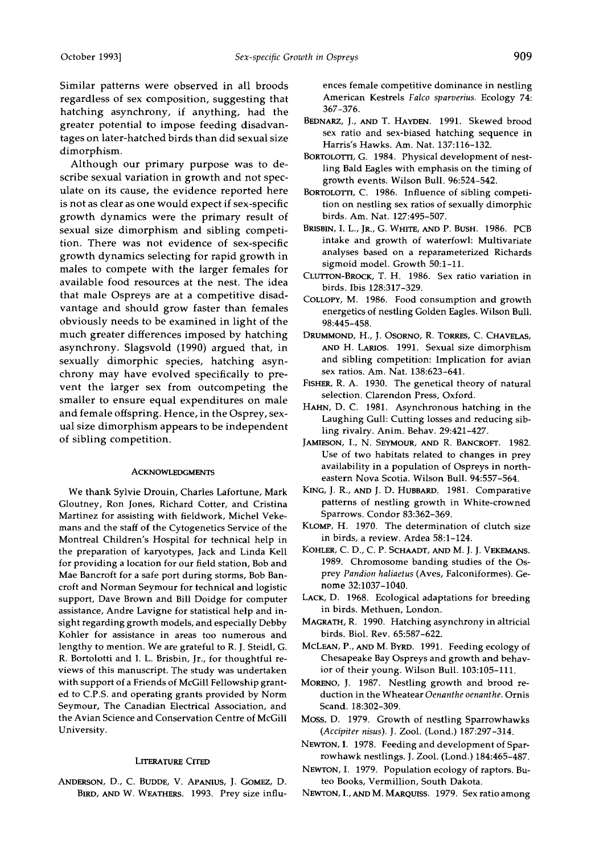**Similar patterns were observed in all broods regardless of sex composition, suggesting that hatching asynchrony, if anything, had the greater potential to impose feeding disadvantages on later-hatched birds than did sexual size dimorphism.** 

**Although our primary purpose was to describe sexual variation in growth and not speculate on its cause, the evidence reported here is not as clear as one would expect if sex-specific growth dynamics were the primary result of sexual size dimorphism and sibling competition. There was not evidence of sex-specific growth dynamics selecting for rapid growth in males to compete with the larger females for available food resources at the nest. The idea that male Ospreys are at a competitive disadvantage and should grow faster than females obviously needs to be examined in light of the much greater differences imposed by hatching asynchrony. Slagsvoid (1990) argued that, in sexually dimorphic species, hatching asynchrony may have evolved specifically to prevent the larger sex from outcompeting the smaller to ensure equal expenditures on male and female offspring. Hence, in the Osprey, sexual size dimorphism appears to be independent of sibling competition.** 

#### **ACKNOWLEDGMENTS**

**We thank Sylvie Drouin, Charles Lafortune, Mark Gloutney, Ron Jones, Richard Cotter, and Cristina Martinez for assisting with fieldwork, Michel Veke**mans and the staff of the Cytogenetics Service of the **Montreal Children's Hospital for technical help in the preparation of karyotypes, Jack and Linda Kell for providing a location for our field station, Bob and Mae Bancroft for a safe port during storms, Bob Bancroft and Norman Seymour for technical and logistic support, Dave Brown and Bill Doidge for computer assistance, Andre Lavigne for statistical help and insight regarding growth models, and especially Debby Kohler for assistance in areas too numerous and lengthy to mention. We are grateful to R. J. Steidl, G. R. Bortolotti and I. L. Brisbin, Jr., for thoughtful reviews of this manuscript. The study was undertaken with support of a Friends of McGill Fellowship granted to C.P.S. and operating grants provided by Norm Seymour, The Canadian Electrical Association, and the Avian Science and Conservation Centre of McGill University.** 

## **LITERATURE CITED**

ANDERSON, D., C. BUDDE, V. APANIUS, J. GOMEZ, D. **BIRD, AND W. WEATHERS. 1993. Prey size influ-** **ences female competitive dominance in nestling American Kestrels Falco sparverius. Ecology 74: 367-376.** 

- **BEDNARZ, J., AND T. HAYDEN. 1991. Skewed brood sex ratio and sex-biased hatching sequence in Harris's Hawks. Am. Nat. 137:116-132.**
- **BORTOLOTTI, G. 1984. Physical development of nestling Bald Eagles with emphasis on the timing of growth events. Wilson Bull. 96:524-542.**
- **BORTOLOTTI, C. 1986. Influence of sibling competition on nestling sex ratios of sexually dimorphic birds. Am. Nat. 127:495-507.**
- **BRISBIN, I. L., JR., G. WHITE, AND P. BUSH. 1986. PCB intake and growth of waterfowl: Multivariate analyses based on a reparameterized Richards sigmoid model. Growth 50:1-11.**
- **CLLV•oN-BROCK, T. H. 1986. Sex ratio variation in birds. Ibis 128:317-329.**
- **COLLOPY, M. 1986. Food consumption and growth energetics of nestling Golden Eagles. Wilson Bull. 98:445-458.**
- **DRUMMOND, H., J. OSORNO, R. TORRES, C. CHAVELAS, .•a•D H. LAmOS. 1991. Sexual size dimorphism and sibling competition: Implication for avian sex ratios. Am. Nat. 138:623-641.**
- **FISHER, R. A. 1930. The genetical theory of natural selection. Clarendon Press, Oxford.**
- **HAHN, D.C. 1981. Asynchronous hatching in the Laughing Gull: Cutting losses and reducing sibling rivalry. Anita. Behav. 29:421-427.**
- JAMIESON, I., N. SEYMOUR, AND R. BANCROFT. 1982. **Use of two habitats related to changes in prey availability in a population of Ospreys in northeastern Nova Scotia. Wilson Bull. 94:557-564.**
- KING, J. R., AND J. D. HUBBARD. 1981. Comparative **patterns of nestling growth in White-crowned Sparrows. Condor 83:362-369.**
- **KLOMP, H. 1970. The determination of clutch size in birds, a review. Ardea 58:1-124.**
- KOHLER, C. D., C. P. SCHAADT, AND M. J. J. VEKEMANS. **1989. Chromosome banding studies of the Osprey Pandion haliaetus (Aves, Falconiformes). Genome 32:1037-1040.**
- **LACK, D. 1968. Ecological adaptations for breeding in birds. Methuen, London.**
- MAGRATH, R. 1990. Hatching asynchrony in altricial **birds. Biol. Rev. 65:587-622.**
- **McLEAN, P., AND M. BYRD. 1991. Feeding ecology of Chesapeake Bay Ospreys and growth and behavior of their young. Wilson Bull. 103:105-111.**
- **MORENO, J. 1987. Nestling growth and brood reduction in the Wheatear Oenanthe oenanthe. Ornis Scand. 18:302-309.**
- **Moss, D. 1979. Growth of nestling Sparrowhawks (Accipiter nisus). J. Zool. (Lond.) 187:297-314.**
- **NEWTON, I. 1978. Feeding and development of Sparrowhawk nestlings. J. Zool. (Lond.) 184:465-487.**
- **NEWTON, I. 1979. Population ecology of raptors. Buteo Books, Vermillion, South Dakota.**
- **NEWTON, I.AND M. MARQUISS. 1979. Sex ratio among**